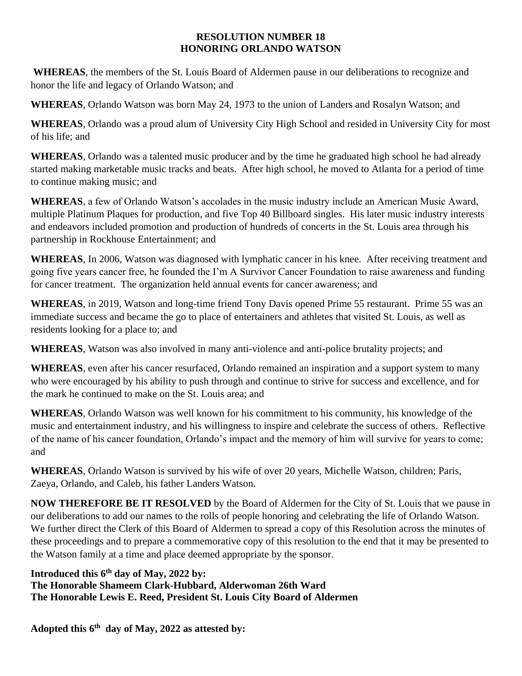## **RESOLUTION NUMBER 18 HONORING ORLANDO WATSON**

**WHEREAS**, the members of the St. Louis Board of Aldermen pause in our deliberations to recognize and honor the life and legacy of Orlando Watson; and

**WHEREAS**, Orlando Watson was born May 24, 1973 to the union of Landers and Rosalyn Watson; and

**WHEREAS**, Orlando was a proud alum of University City High School and resided in University City for most of his life; and

**WHEREAS**, Orlando was a talented music producer and by the time he graduated high school he had already started making marketable music tracks and beats. After high school, he moved to Atlanta for a period of time to continue making music; and

**WHEREAS**, a few of Orlando Watson's accolades in the music industry include an American Music Award, multiple Platinum Plaques for production, and five Top 40 Billboard singles. His later music industry interests and endeavors included promotion and production of hundreds of concerts in the St. Louis area through his partnership in Rockhouse Entertainment; and

**WHEREAS**, In 2006, Watson was diagnosed with lymphatic cancer in his knee. After receiving treatment and going five years cancer free, he founded the I'm A Survivor Cancer Foundation to raise awareness and funding for cancer treatment. The organization held annual events for cancer awareness; and

**WHEREAS**, in 2019, Watson and long-time friend Tony Davis opened Prime 55 restaurant. Prime 55 was an immediate success and became the go to place of entertainers and athletes that visited St. Louis, as well as residents looking for a place to; and

**WHEREAS**, Watson was also involved in many anti-violence and anti-police brutality projects; and

**WHEREAS**, even after his cancer resurfaced, Orlando remained an inspiration and a support system to many who were encouraged by his ability to push through and continue to strive for success and excellence, and for the mark he continued to make on the St. Louis area; and

**WHEREAS**, Orlando Watson was well known for his commitment to his community, his knowledge of the music and entertainment industry, and his willingness to inspire and celebrate the success of others. Reflective of the name of his cancer foundation, Orlando's impact and the memory of him will survive for years to come; and

**WHEREAS**, Orlando Watson is survived by his wife of over 20 years, Michelle Watson, children; Paris, Zaeya, Orlando, and Caleb, his father Landers Watson.

**NOW THEREFORE BE IT RESOLVED** by the Board of Aldermen for the City of St. Louis that we pause in our deliberations to add our names to the rolls of people honoring and celebrating the life of Orlando Watson. We further direct the Clerk of this Board of Aldermen to spread a copy of this Resolution across the minutes of these proceedings and to prepare a commemorative copy of this resolution to the end that it may be presented to the Watson family at a time and place deemed appropriate by the sponsor.

**Introduced this 6th day of May, 2022 by:** 

**The Honorable Shameem Clark-Hubbard, Alderwoman 26th Ward The Honorable Lewis E. Reed, President St. Louis City Board of Aldermen**

**Adopted this 6 th day of May, 2022 as attested by:**